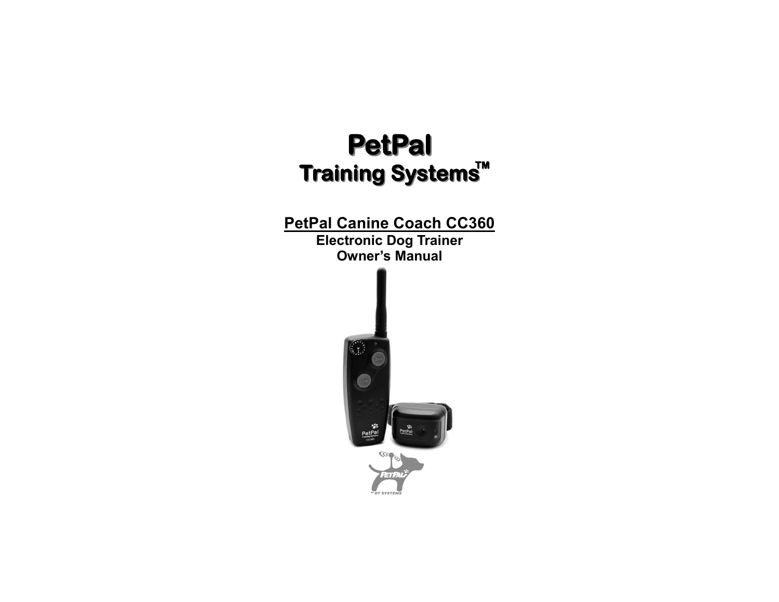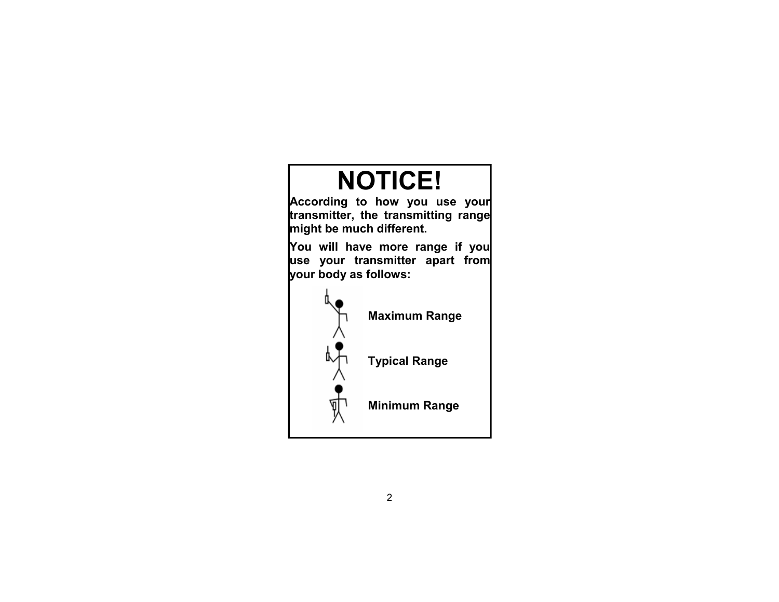# **NOTICE!**

**According to how you use your transmitter, the transmitting range might be much different.**

**You will have more range if you use your transmitter apart from your body as follows:**

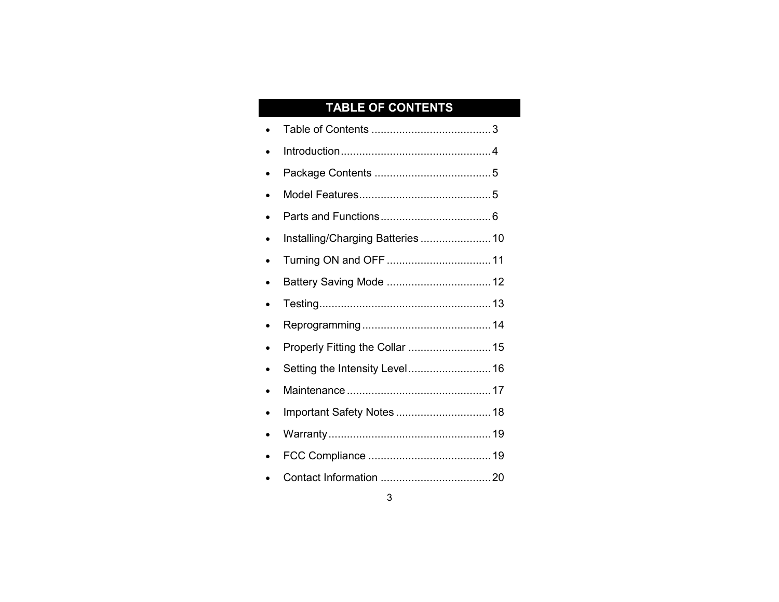# **TABLE OF CONTENTS**

| Installing/Charging Batteries  10<br>Battery Saving Mode  12<br>Properly Fitting the Collar  15 |
|-------------------------------------------------------------------------------------------------|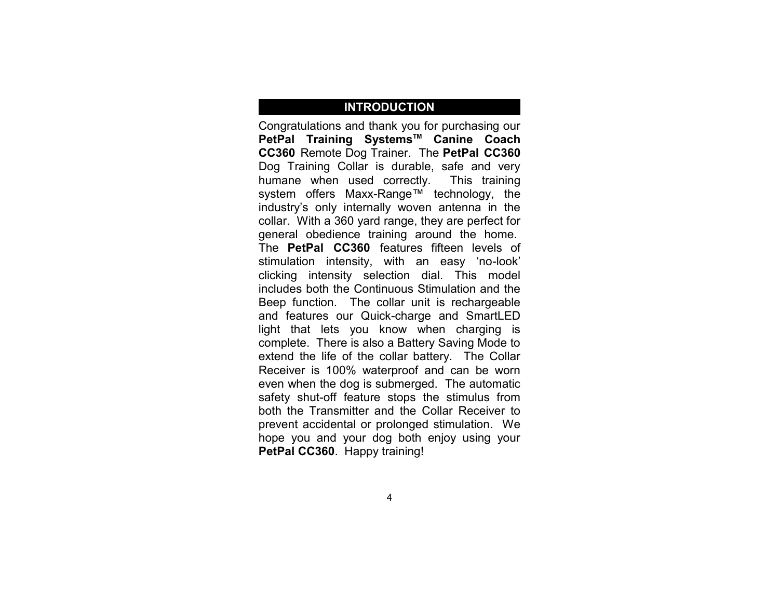# **INTRODUCTION**

Congratulations and thank you for purchasing our **PetPal Training SystemsTM Canine Coach CC360** Remote Dog Trainer. The **PetPal CC360** Dog Training Collar is durable, safe and very humane when used correctly. This training system offers Maxx-Range™ technology, the industry's only internally woven antenna in the collar. With a 360 yard range, they are perfect for general obedience training around the home. The **PetPal CC360** features fifteen levels of stimulation intensity, with an easy 'no-look' clicking intensity selection dial. This model includes both the Continuous Stimulation and the Beep function. The collar unit is rechargeable and features our Quick-charge and SmartLED light that lets you know when charging is complete. There is also a Battery Saving Mode to extend the life of the collar battery. The Collar Receiver is 100% waterproof and can be worn even when the dog is submerged. The automatic safety shut-off feature stops the stimulus from both the Transmitter and the Collar Receiver to prevent accidental or prolonged stimulation. We hope you and your dog both enjoy using your **PetPal CC360**. Happy training!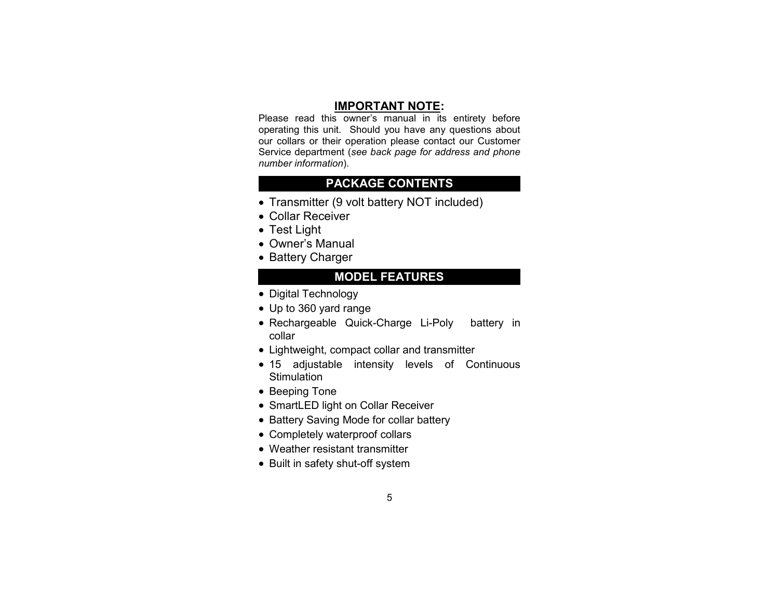#### **IMPORTANT NOTE:**

Please read this owner's manual in its entirety before operating this unit. Should you have any questions about our collars or their operation please contact our Customer Service department (*see back page for address and phone number information*).

# **PACKAGE CONTENTS**

- Transmitter (9 volt battery NOT included)
- Collar Receiver
- Test Light
- Owner's Manual
- Battery Charger

# **MODEL FEATURES**

- Digital Technology
- Up to 360 yard range
- Rechargeable Quick-Charge Li-Poly battery in collar
- Lightweight, compact collar and transmitter
- 15 adjustable intensity levels of Continuous **Stimulation**
- Beeping Tone
- SmartLED light on Collar Receiver
- Battery Saving Mode for collar battery
- Completely waterproof collars
- Weather resistant transmitter
- Built in safety shut-off system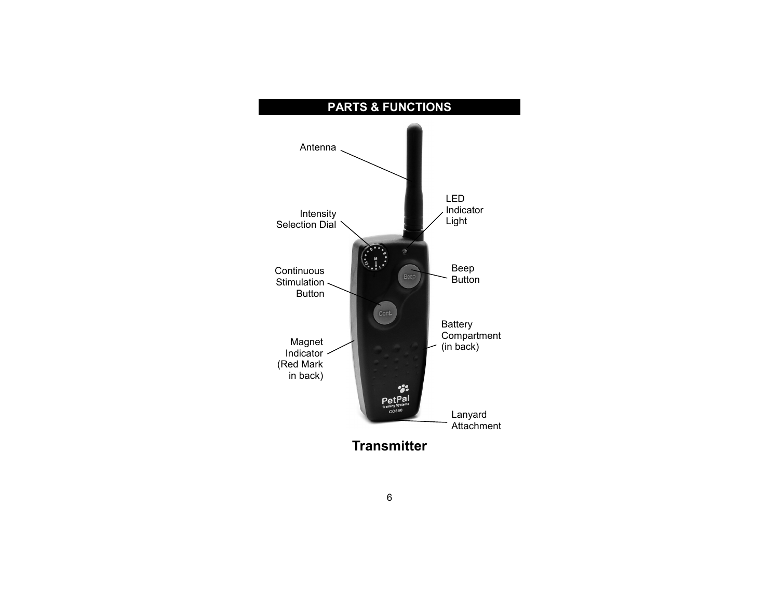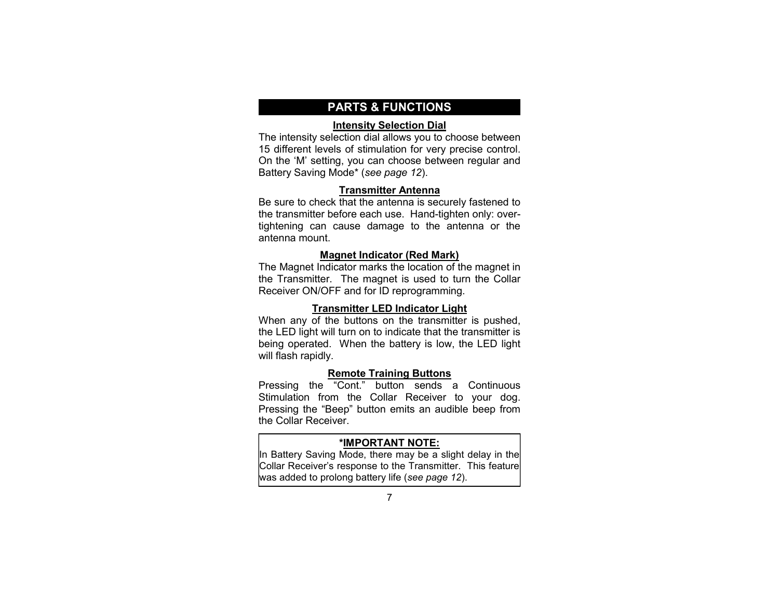# **PARTS & FUNCTIONS**

#### **Intensity Selection Dial**

The intensity selection dial allows you to choose between 15 different levels of stimulation for very precise control. On the 'M' setting, you can choose between regular and Battery Saving Mode\* (*see page 12*).

#### **Transmitter Antenna**

Be sure to check that the antenna is securely fastened to the transmitter before each use. Hand-tighten only: overtightening can cause damage to the antenna or the antenna mount.

#### **Magnet Indicator (Red Mark)**

The Magnet Indicator marks the location of the magnet in the Transmitter. The magnet is used to turn the Collar Receiver ON/OFF and for ID reprogramming.

#### **Transmitter LED Indicator Light**

When any of the buttons on the transmitter is pushed, the LED light will turn on to indicate that the transmitter is being operated. When the battery is low, the LED light will flash rapidly.

#### **Remote Training Buttons**

Pressing the "Cont." button sends a Continuous Stimulation from the Collar Receiver to your dog. Pressing the "Beep" button emits an audible beep from the Collar Receiver.

#### **\*IMPORTANT NOTE:**

In Battery Saving Mode, there may be a slight delay in the Collar Receiver's response to the Transmitter. This feature was added to prolong battery life (*see page 12*).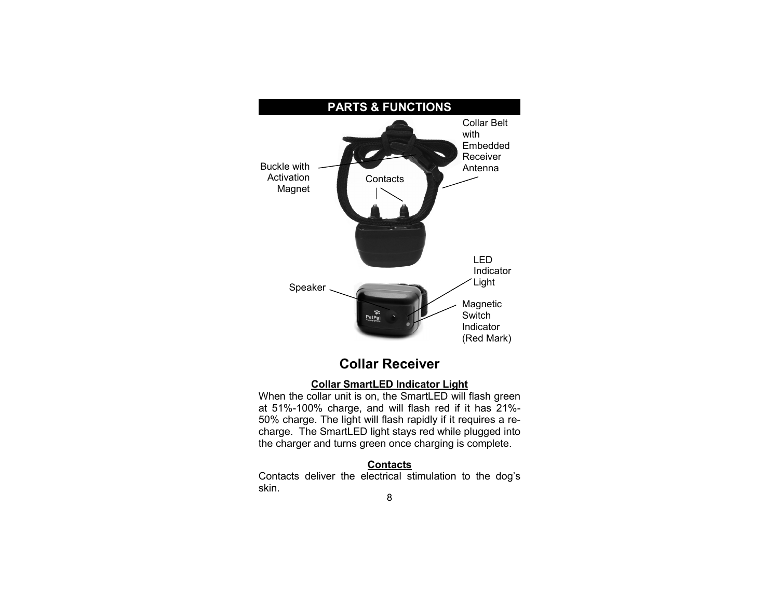

### **Collar SmartLED Indicator Light**

When the collar unit is on, the SmartLED will flash green at 51%-100% charge, and will flash red if it has 21%- 50% charge. The light will flash rapidly if it requires a recharge. The SmartLED light stays red while plugged into the charger and turns green once charging is complete.

#### **Contacts**

Contacts deliver the electrical stimulation to the dog's skin.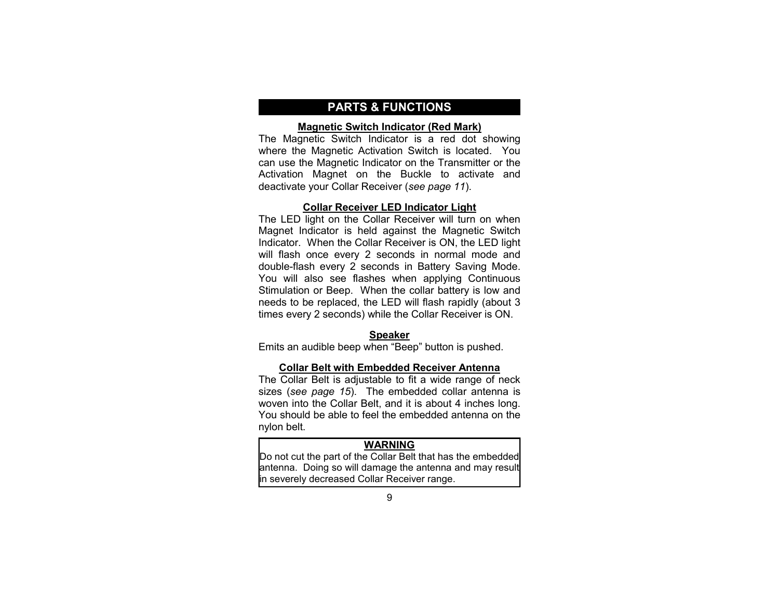# **PARTS & FUNCTIONS**

#### **Magnetic Switch Indicator (Red Mark)**

The Magnetic Switch Indicator is a red dot showing where the Magnetic Activation Switch is located. You can use the Magnetic Indicator on the Transmitter or the Activation Magnet on the Buckle to activate and deactivate your Collar Receiver (*see page 11*).

#### **Collar Receiver LED Indicator Light**

The LED light on the Collar Receiver will turn on when Magnet Indicator is held against the Magnetic Switch Indicator. When the Collar Receiver is ON, the LED light will flash once every 2 seconds in normal mode and double-flash every 2 seconds in Battery Saving Mode. You will also see flashes when applying Continuous Stimulation or Beep. When the collar battery is low and needs to be replaced, the LED will flash rapidly (about 3 times every 2 seconds) while the Collar Receiver is ON.

#### **Speaker**

Emits an audible beep when "Beep" button is pushed.

#### **Collar Belt with Embedded Receiver Antenna**

The Collar Belt is adjustable to fit a wide range of neck sizes (*see page 15*). The embedded collar antenna is woven into the Collar Belt, and it is about 4 inches long. You should be able to feel the embedded antenna on the nylon belt.

#### **WARNING**

Do not cut the part of the Collar Belt that has the embedded antenna. Doing so will damage the antenna and may result in severely decreased Collar Receiver range.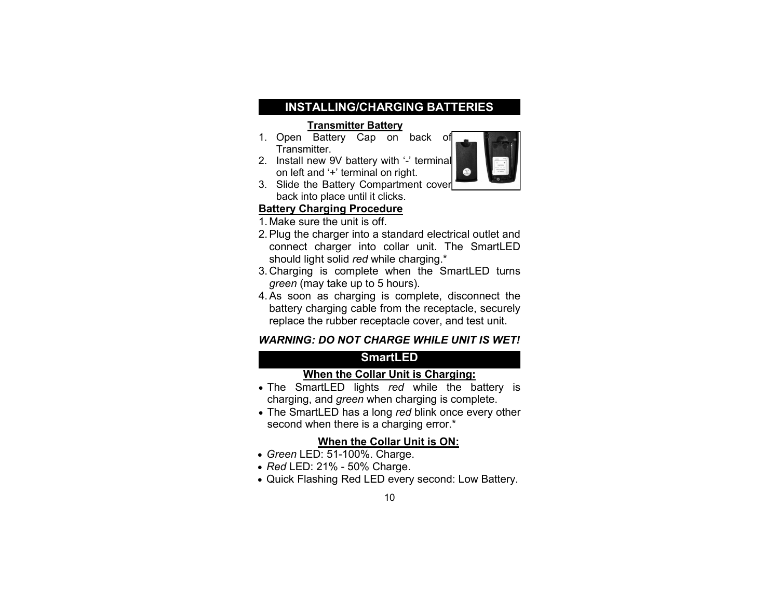# **INSTALLING/CHARGING BATTERIES**

#### **Transmitter Battery**

- 1. Open Battery Cap on back of Transmitter.
- 2. Install new 9V battery with '-' terminal on left and '+' terminal on right.



3. Slide the Battery Compartment cover back into place until it clicks.

# **Battery Charging Procedure**

- 1. Make sure the unit is off.
- 2.Plug the charger into a standard electrical outlet and connect charger into collar unit. The SmartLED should light solid *red* while charging.\*
- 3. Charging is complete when the SmartLED turns *green* (may take up to 5 hours).
- 4.As soon as charging is complete, disconnect the battery charging cable from the receptacle, securely replace the rubber receptacle cover, and test unit.

# *WARNING: DO NOT CHARGE WHILE UNIT IS WET!*

# **SmartLED**

#### **When the Collar Unit is Charging:**

- The SmartLED lights *red* while the battery is charging, and *green* when charging is complete.
- The SmartLED has a long *red* blink once every other second when there is a charging error.\*

# **When the Collar Unit is ON:**

- *Green* LED: 51-100%. Charge.
- *Red* LED: 21% 50% Charge.
- Quick Flashing Red LED every second: Low Battery.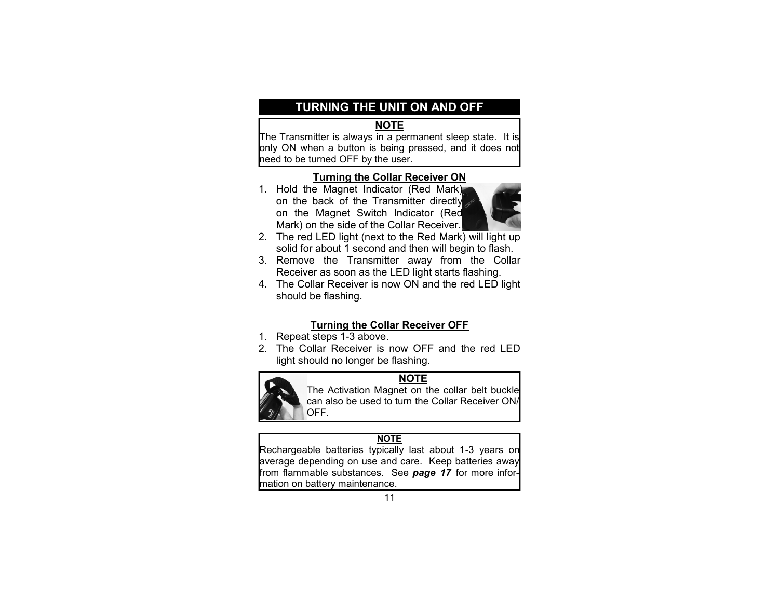# **TURNING THE UNIT ON AND OFF**

# **NOTE**

The Transmitter is always in a permanent sleep state. It is only ON when a button is being pressed, and it does not need to be turned OFF by the user.

# **Turning the Collar Receiver ON**

- 1. Hold the Magnet Indicator (Red Mark) on the back of the Transmitter directly on the Magnet Switch Indicator (Red Mark) on the side of the Collar Receiver.
- 2. The red LED light (next to the Red Mark) will light up solid for about 1 second and then will begin to flash.
- 3. Remove the Transmitter away from the Collar Receiver as soon as the LED light starts flashing.
- 4. The Collar Receiver is now ON and the red LED light should be flashing.

# **Turning the Collar Receiver OFF**

- 1. Repeat steps 1-3 above.
- 2. The Collar Receiver is now OFF and the red LED light should no longer be flashing.

# **NOTE**

The Activation Magnet on the collar belt buckle can also be used to turn the Collar Receiver ON/ OFF.

# **NOTE**

Rechargeable batteries typically last about 1-3 years on average depending on use and care. Keep batteries away from flammable substances. See *page 17* for more information on battery maintenance.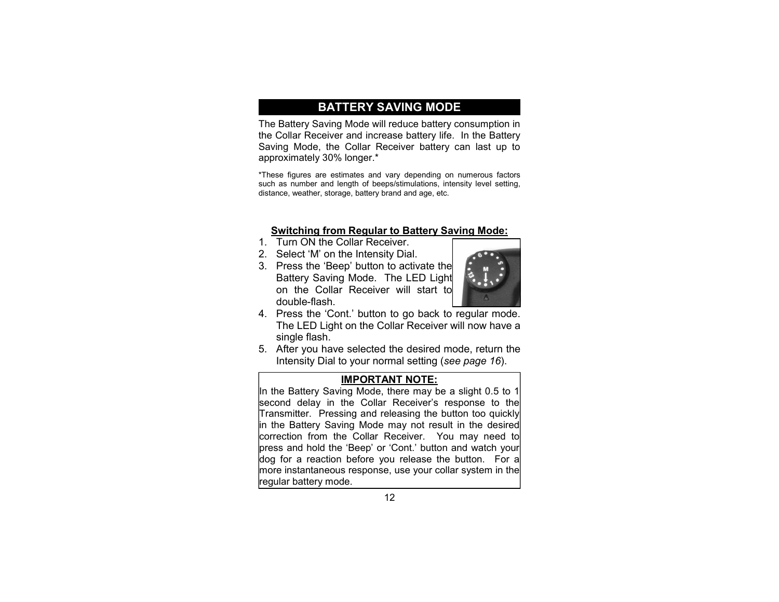# **BATTERY SAVING MODE**

The Battery Saving Mode will reduce battery consumption in the Collar Receiver and increase battery life. In the Battery Saving Mode, the Collar Receiver battery can last up to approximately 30% longer.\*

\*These figures are estimates and vary depending on numerous factors such as number and length of beeps/stimulations, intensity level setting, distance, weather, storage, battery brand and age, etc.

#### **Switching from Regular to Battery Saving Mode:**

- 1. Turn ON the Collar Receiver.
- 2. Select 'M' on the Intensity Dial.
- 3. Press the 'Beep' button to activate the Battery Saving Mode. The LED Light on the Collar Receiver will start to double-flash.



- 4. Press the 'Cont.' button to go back to regular mode. The LED Light on the Collar Receiver will now have a single flash.
- 5. After you have selected the desired mode, return the Intensity Dial to your normal setting (*see page 16*).

#### **IMPORTANT NOTE:**

In the Battery Saving Mode, there may be a slight 0.5 to 1 second delay in the Collar Receiver's response to the Transmitter. Pressing and releasing the button too quickly in the Battery Saving Mode may not result in the desired correction from the Collar Receiver. You may need to press and hold the 'Beep' or 'Cont.' button and watch your dog for a reaction before you release the button. For a more instantaneous response, use your collar system in the regular battery mode.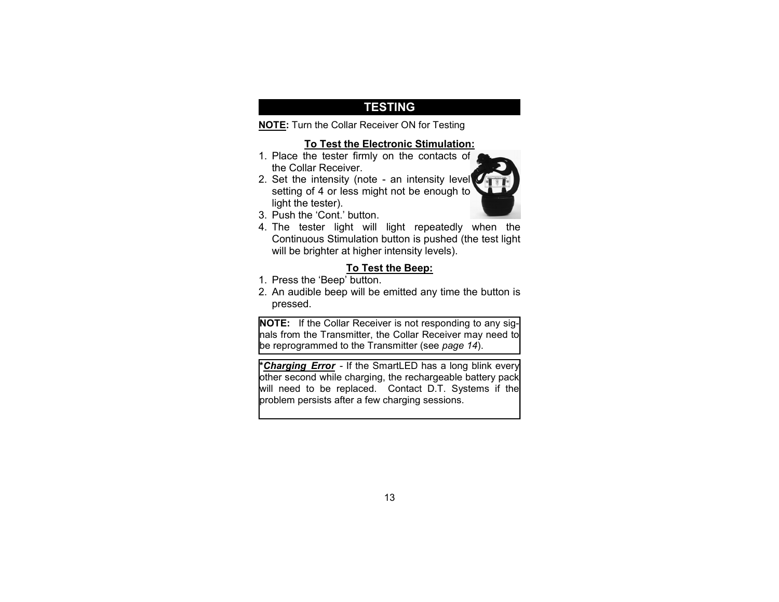# **TESTING**

**NOTE:** Turn the Collar Receiver ON for Testing

#### **To Test the Electronic Stimulation:**

- 1. Place the tester firmly on the contacts of the Collar Receiver.
- 2. Set the intensity (note an intensity level setting of 4 or less might not be enough to light the tester).
- 3. Push the 'Cont.' button.
- 4. The tester light will light repeatedly when the Continuous Stimulation button is pushed (the test light will be brighter at higher intensity levels).

## **To Test the Beep:**

- 1. Press the 'Beep' button.
- 2. An audible beep will be emitted any time the button is pressed.

**NOTE:** If the Collar Receiver is not responding to any signals from the Transmitter, the Collar Receiver may need to be reprogrammed to the Transmitter (see *page 14*).

**\****Charging Error* - If the SmartLED has a long blink every other second while charging, the rechargeable battery pack will need to be replaced. Contact D.T. Systems if the problem persists after a few charging sessions.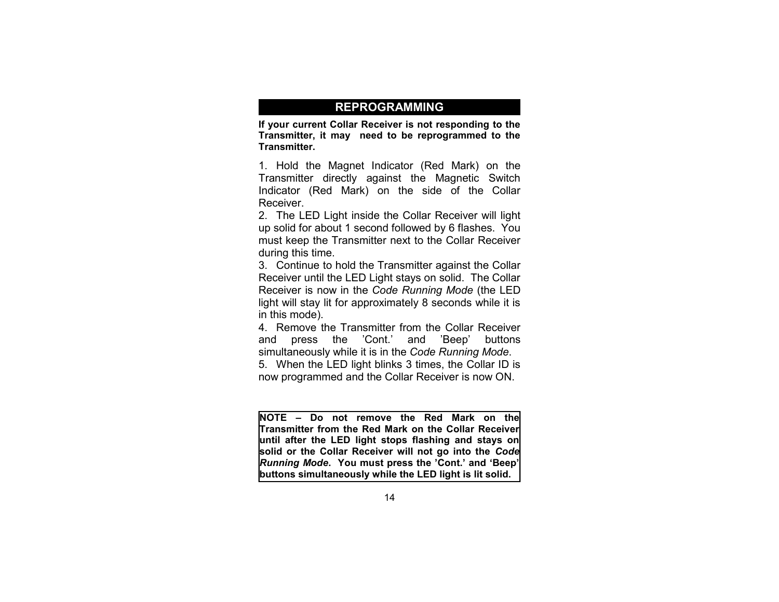# **REPROGRAMMING**

**If your current Collar Receiver is not responding to the Transmitter, it may need to be reprogrammed to the Transmitter.**

1. Hold the Magnet Indicator (Red Mark) on the Transmitter directly against the Magnetic Switch Indicator (Red Mark) on the side of the Collar Receiver.

2. The LED Light inside the Collar Receiver will light up solid for about 1 second followed by 6 flashes. You must keep the Transmitter next to the Collar Receiver during this time.

3. Continue to hold the Transmitter against the Collar Receiver until the LED Light stays on solid. The Collar Receiver is now in the *Code Running Mode* (the LED light will stay lit for approximately 8 seconds while it is in this mode).

4. Remove the Transmitter from the Collar Receiver and press the 'Cont.' and 'Beep' buttons simultaneously while it is in the *Code Running Mode*.

5. When the LED light blinks 3 times, the Collar ID is now programmed and the Collar Receiver is now ON.

**NOTE – Do not remove the Red Mark on the Transmitter from the Red Mark on the Collar Receiver until after the LED light stops flashing and stays on solid or the Collar Receiver will not go into the** *Code Running Mode***. You must press the 'Cont.' and 'Beep' buttons simultaneously while the LED light is lit solid.**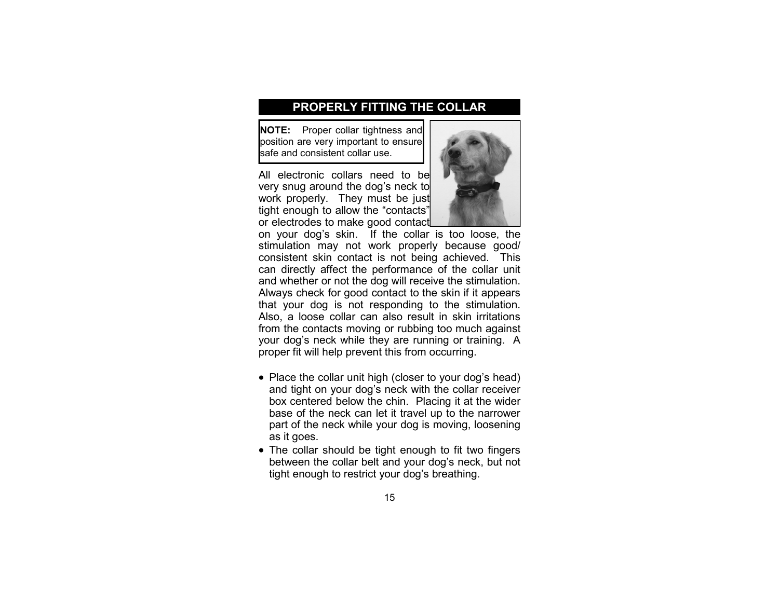# **PROPERLY FITTING THE COLLAR**

**NOTE:** Proper collar tightness and position are very important to ensure safe and consistent collar use.

All electronic collars need to be very snug around the dog's neck to work properly. They must be just tight enough to allow the "contacts" or electrodes to make good contact



on your dog's skin. If the collar is too loose, the stimulation may not work properly because good/ consistent skin contact is not being achieved. This can directly affect the performance of the collar unit and whether or not the dog will receive the stimulation. Always check for good contact to the skin if it appears that your dog is not responding to the stimulation. Also, a loose collar can also result in skin irritations from the contacts moving or rubbing too much against your dog's neck while they are running or training. A proper fit will help prevent this from occurring.

- Place the collar unit high (closer to your dog's head) and tight on your dog's neck with the collar receiver box centered below the chin. Placing it at the wider base of the neck can let it travel up to the narrower part of the neck while your dog is moving, loosening as it goes.
- The collar should be tight enough to fit two fingers between the collar belt and your dog's neck, but not tight enough to restrict your dog's breathing.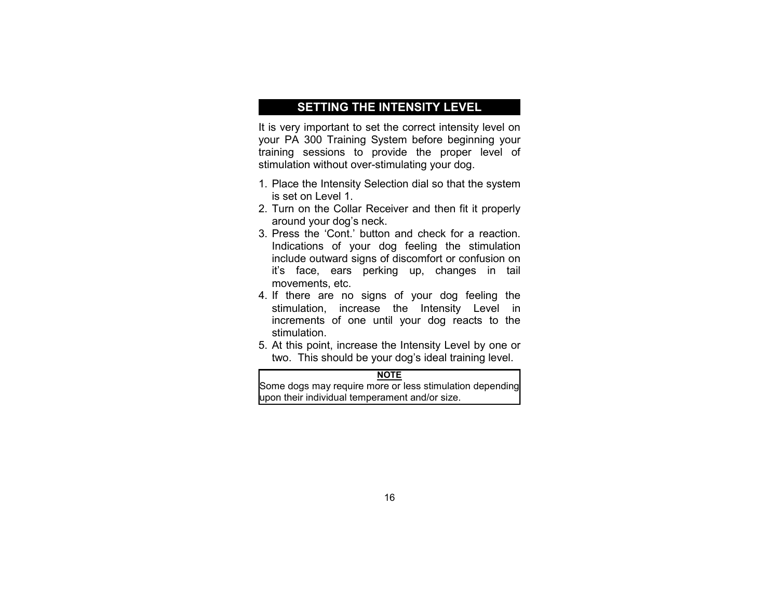# **SETTING THE INTENSITY LEVEL**

It is very important to set the correct intensity level on your PA 300 Training System before beginning your training sessions to provide the proper level of stimulation without over-stimulating your dog.

- 1. Place the Intensity Selection dial so that the system is set on Level 1.
- 2. Turn on the Collar Receiver and then fit it properly around your dog's neck.
- 3. Press the 'Cont.' button and check for a reaction. Indications of your dog feeling the stimulation include outward signs of discomfort or confusion on it's face, ears perking up, changes in tail movements, etc.
- 4. If there are no signs of your dog feeling the stimulation, increase the Intensity Level in increments of one until your dog reacts to the stimulation.
- 5. At this point, increase the Intensity Level by one or two. This should be your dog's ideal training level.

| <b>NOTE</b>                                              |
|----------------------------------------------------------|
| Some dogs may require more or less stimulation depending |
| upon their individual temperament and/or size.           |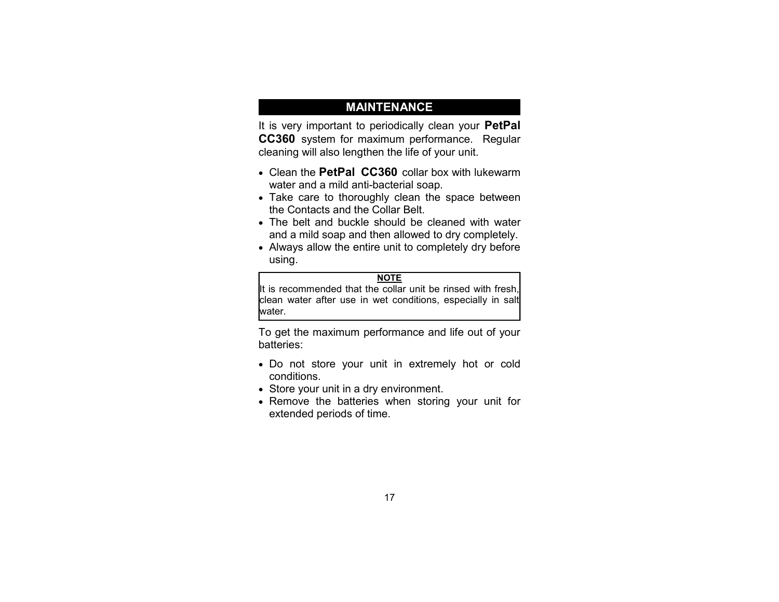# **MAINTENANCE**

It is very important to periodically clean your **PetPal CC360** system for maximum performance. Regular cleaning will also lengthen the life of your unit.

- Clean the **PetPal CC360** collar box with lukewarm water and a mild anti-bacterial soap.
- Take care to thoroughly clean the space between the Contacts and the Collar Belt.
- The belt and buckle should be cleaned with water and a mild soap and then allowed to dry completely.
- Always allow the entire unit to completely dry before using.

#### **NOTE**

It is recommended that the collar unit be rinsed with fresh, clean water after use in wet conditions, especially in salt water.

To get the maximum performance and life out of your batteries:

- Do not store your unit in extremely hot or cold conditions.
- Store your unit in a dry environment.
- Remove the batteries when storing your unit for extended periods of time.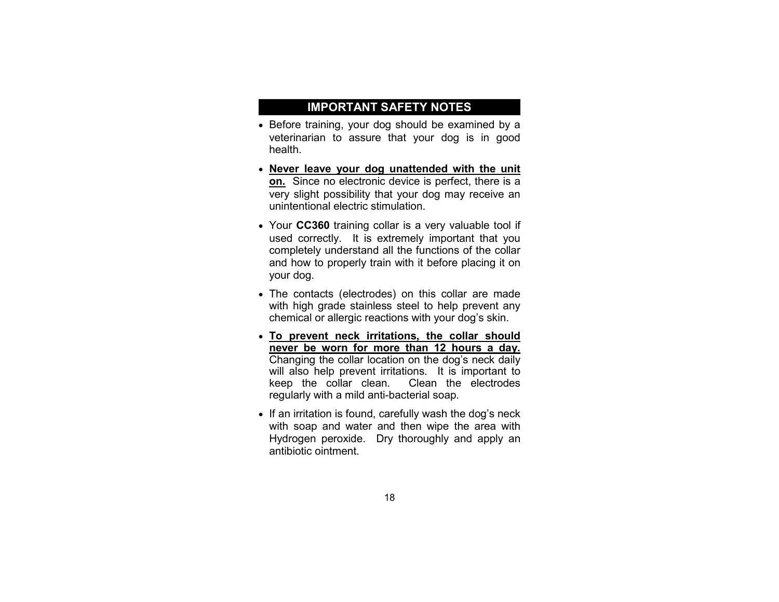# **IMPORTANT SAFETY NOTES**

- Before training, your dog should be examined by a veterinarian to assure that your dog is in good health.
- **Never leave your dog unattended with the unit on.** Since no electronic device is perfect, there is a very slight possibility that your dog may receive an unintentional electric stimulation.
- Your **CC360** training collar is a very valuable tool if used correctly. It is extremely important that you completely understand all the functions of the collar and how to properly train with it before placing it on your dog.
- The contacts (electrodes) on this collar are made with high grade stainless steel to help prevent any chemical or allergic reactions with your dog's skin.
- **To prevent neck irritations, the collar should never be worn for more than 12 hours a day.**  Changing the collar location on the dog's neck daily will also help prevent irritations. It is important to keep the collar clean. Clean the electrodes regularly with a mild anti-bacterial soap.
- If an irritation is found, carefully wash the dog's neck with soap and water and then wipe the area with Hydrogen peroxide. Dry thoroughly and apply an antibiotic ointment.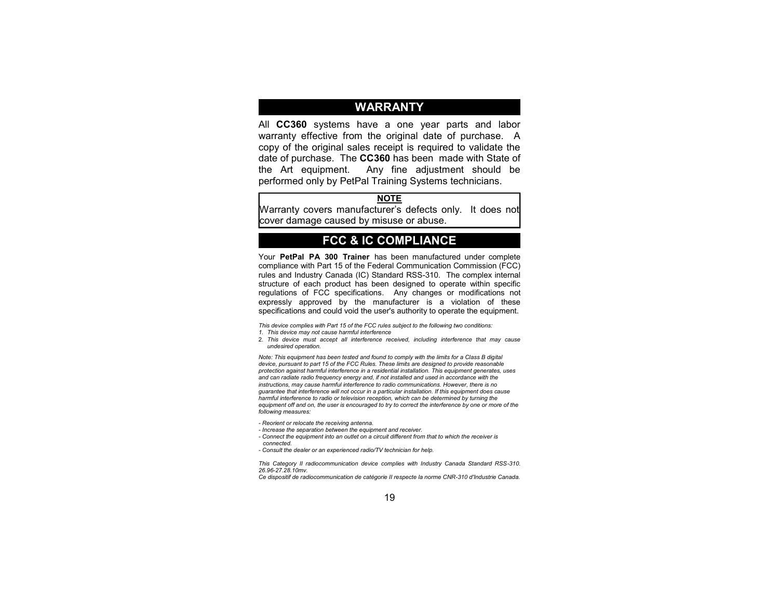## **WARRANTY**

All **CC360** systems have a one year parts and labor warranty effective from the original date of purchase. A copy of the original sales receipt is required to validate the date of purchase. The **CC360** has been made with State of the Art equipment. Any fine adjustment should be performed only by PetPal Training Systems technicians.

#### **NOTE**

Warranty covers manufacturer's defects only. It does not cover damage caused by misuse or abuse.

# **FCC & IC COMPLIANCE**

Your **PetPal PA 300 Trainer** has been manufactured under complete compliance with Part 15 of the Federal Communication Commission (FCC) rules and Industry Canada (IC) Standard RSS-310. The complex internal structure of each product has been designed to operate within specific regulations of FCC specifications. Any changes or modifications not expressly approved by the manufacturer is a violation of these specifications and could void the user's authority to operate the equipment.

*This device complies with Part 15 of the FCC rules subject to the following two conditions: 1. This device may not cause harmful interference*

2. *This device must accept all interference received, including interference that may cause undesired operation.*

*Note: This equipment has been tested and found to comply with the limits for a Class B digital device, pursuant to part 15 of the FCC Rules. These limits are designed to provide reasonable protection against harmful interference in a residential installation. This equipment generates, uses and can radiate radio frequency energy and, if not installed and used in accordance with the instructions, may cause harmful interference to radio communications. However, there is no guarantee that interference will not occur in a particular installation. If this equipment does cause harmful interference to radio or television reception, which can be determined by turning the equipment off and on, the user is encouraged to try to correct the interference by one or more of the following measures:*

*- Reorient or relocate the receiving antenna.*

*- Increase the separation between the equipment and receiver.*

*- Connect the equipment into an outlet on a circuit different from that to which the receiver is connected.*

*- Consult the dealer or an experienced radio/TV technician for help.* 

*This Category II radiocommunication device complies with Industry Canada Standard RSS-310. 26.96-27.28.10mv.*

*Ce dispositif de radiocommunication de catégorie II respecte la norme CNR-310 d'Industrie Canada.*